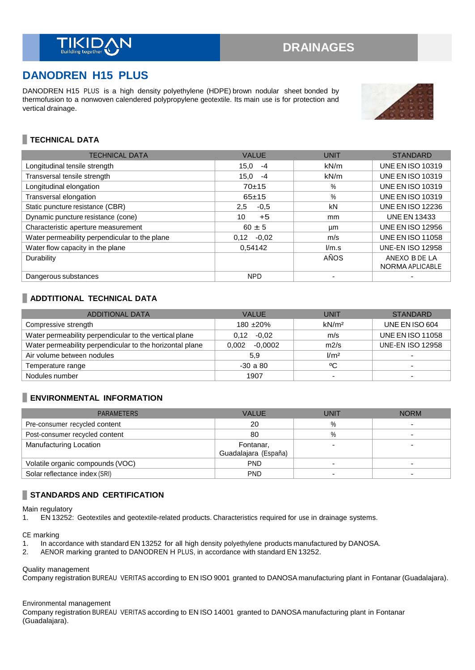# **DANODREN H15 PLUS**

DANODREN H15 PLUS is a high density polyethylene (HDPE) brown nodular sheet bonded by thermofusion to a nonwoven calendered polypropylene geotextile. Its main use is for protection and vertical drainage.



# **TECHNICAL DATA**

| <b>TECHNICAL DATA</b>                         | <b>VALUE</b>  | <b>UNIT</b> | <b>STANDARD</b>                  |
|-----------------------------------------------|---------------|-------------|----------------------------------|
| Longitudinal tensile strength                 | 15.0<br>$-4$  | kN/m        | <b>UNE EN ISO 10319</b>          |
| Transversal tensile strength                  | 15.0<br>$-4$  | kN/m        | <b>UNE EN ISO 10319</b>          |
| Longitudinal elongation                       | $70+15$       | %           | <b>UNE EN ISO 10319</b>          |
| Transversal elongation                        | $65+15$       | $\%$        | <b>UNE EN ISO 10319</b>          |
| Static puncture resistance (CBR)              | $-0.5$<br>2,5 | kN          | <b>UNE EN ISO 12236</b>          |
| Dynamic puncture resistance (cone)            | 10<br>$+5$    | mm          | <b>UNE EN 13433</b>              |
| Characteristic aperture measurement           | $60 \pm 5$    | μm          | <b>UNE EN ISO 12956</b>          |
| Water permeability perpendicular to the plane | $0,12 -0,02$  | m/s         | <b>UNE EN ISO 11058</b>          |
| Water flow capacity in the plane              | 0.54142       | l/m.s       | <b>UNE-EN ISO 12958</b>          |
| Durability                                    |               | AÑOS        | ANEXO B DE LA<br>NORMA APLICABLE |
| Dangerous substances                          | <b>NPD</b>    |             |                                  |

## **ADDTITIONAL TECHNICAL DATA**

| <b>ADDITIONAL DATA</b>                                   | <b>VALUE</b>       | UNIT                     | <b>STANDARD</b>         |
|----------------------------------------------------------|--------------------|--------------------------|-------------------------|
| Compressive strength                                     | 180 $\pm 20\%$     | kN/m <sup>2</sup>        | UNE EN ISO 604          |
| Water permeability perpendicular to the vertical plane   | $0.12 -0.02$       | m/s                      | <b>UNE EN ISO 11058</b> |
| Water permeability perpendicular to the horizontal plane | $-0.0002$<br>0.002 | m2/s                     | <b>UNE-EN ISO 12958</b> |
| Air volume between nodules                               | 5.9                | 1/m <sup>2</sup>         |                         |
| Temperature range                                        | $-30a80$           | °C                       |                         |
| Nodules number                                           | 1907               | $\overline{\phantom{0}}$ |                         |

# **ENVIRONMENTAL INFORMATION**

| <b>PARAMETERS</b>                | <b>VALUE</b>         | UNIT | <b>NORM</b> |
|----------------------------------|----------------------|------|-------------|
| Pre-consumer recycled content    | 20                   | $\%$ |             |
| Post-consumer recycled content   | 80                   | $\%$ |             |
| Manufacturing Location           | Fontanar,            |      |             |
|                                  | Guadalajara (España) |      |             |
| Volatile organic compounds (VOC) | <b>PND</b>           |      |             |
| Solar reflectance index (SRI)    | <b>PND</b>           |      |             |

# **STANDARDS AND CERTIFICATION**

Main regulatory

1. EN 13252: Geotextiles and geotextile-related products. Characteristics required for use in drainage systems.

CE marking

- 1. In accordance with standard EN 13252 for all high density polyethylene products manufactured by DANOSA.<br>2. AENOR marking granted to DANODREN H PLUS, in accordance with standard EN 13252.
- 2. AENOR marking granted to DANODREN H PLUS, in accordance with standard EN 13252.

Quality management

Company registration BUREAU VERITAS according to EN ISO 9001 granted to DANOSA manufacturing plant in Fontanar (Guadalajara).

#### Environmental management

Company registration BUREAU VERITAS according to EN ISO 14001 granted to DANOSA manufacturing plant in Fontanar (Guadalajara).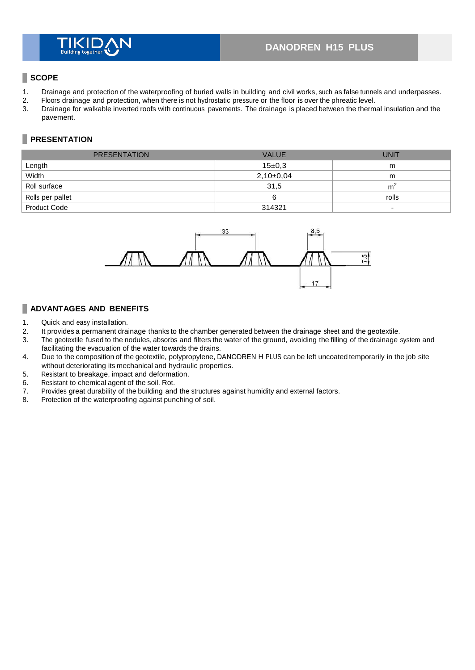# **DANODREN H15 PLUS**

## **SCOPE**

- 1. Drainage and protection of the waterproofing of buried walls in building and civil works, such as false tunnels and underpasses.<br>2. Floors drainage and protection, when there is not hydrostatic pressure or the floor is
- 2. Floors drainage and protection, when there is not hydrostatic pressure or the floor is over the phreatic level.
- 3. Drainage for walkable inverted roofs with continuous pavements. The drainage is placed between the thermal insulation and the pavement.

# **PRESENTATION**

| <b>PRESENTATION</b> | <b>VALUE</b>  | <b>UNIT</b>                  |
|---------------------|---------------|------------------------------|
| Length              | 15±0.3        | m                            |
| Width               | $2,10\pm0,04$ | m                            |
| Roll surface        | 31,5          | m <sup>2</sup>               |
| Rolls per pallet    | 6             | rolls                        |
| <b>Product Code</b> | 314321        | $\qquad \qquad \blacksquare$ |



# **ADVANTAGES AND BENEFITS**

- 1. Quick and easy installation.
- 2. It provides a permanent drainage thanks to the chamber generated between the drainage sheet and the geotextile.<br>3. The geotextile fused to the nodules, absorbs and filters the water of the ground, avoiding the filling o
- The geotextile fused to the nodules, absorbs and filters the water of the ground, avoiding the filling of the drainage system and facilitating the evacuation of the water towards the drains.
- 4. Due to the composition of the geotextile, polypropylene, DANODREN H PLUS can be left uncoated temporarily in the job site without deteriorating its mechanical and hydraulic properties.
- 5. Resistant to breakage, impact and deformation.
- 6. Resistant to chemical agent of the soil. Rot.<br>7. Provides great durability of the building and
- Provides great durability of the building and the structures against humidity and external factors.
- 8. Protection of the waterproofing against punching of soil.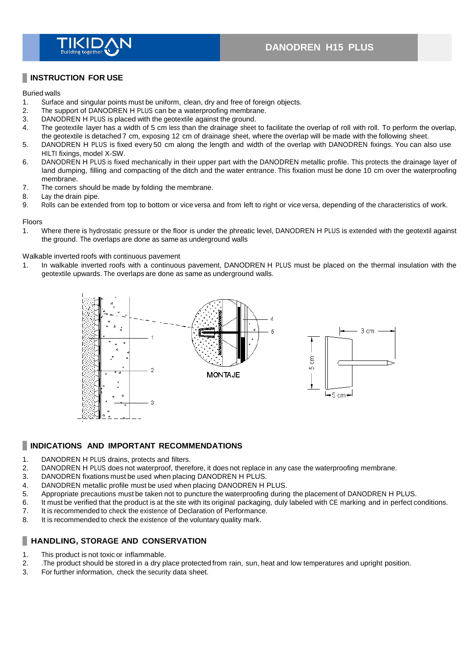

## **INSTRUCTION FOR USE**

#### Buried walls

- 1. Surface and singular points must be uniform, clean, dry and free of foreign objects.<br>2. The support of DANODREN H PLUS can be a waterproofing membrane.
- The support of DANODREN H PLUS can be a waterproofing membrane.
- 3. DANODREN H PLUS is placed with the geotextile against the ground.<br>4 The geotextile layer has a width of 5 cm less than the drainage sheet
- The geotextile layer has a width of 5 cm less than the drainage sheet to facilitate the overlap of roll with roll. To perform the overlap, the geotextile is detached 7 cm, exposing 12 cm of drainage sheet, where the overlap will be made with the following sheet.
- 5. DANODREN H PLUS is fixed every 50 cm along the length and width of the overlap with DANODREN fixings. You can also use HILTI fixings, model X-SW.
- 6. DANODREN H PLUS is fixed mechanically in their upper part with the DANODREN metallic profile. This protects the drainage layer of land dumping, filling and compacting of the ditch and the water entrance. This fixation must be done 10 cm over the waterproofing membrane.
- 7. The corners should be made by folding the membrane.
- 8. Lay the drain pipe.
- 9. Rolls can be extended from top to bottom or vice versa and from left to right or vice versa, depending of the characteristics of work.

#### Floors

1. Where there is hydrostatic pressure or the floor is under the phreatic level, DANODREN H PLUS is extended with the geotextil against the ground. The overlaps are done as same as underground walls

#### Walkable inverted roofs with continuous pavement

1. In walkable inverted roofs with a continuous pavement, DANODREN H PLUS must be placed on the thermal insulation with the geotextile upwards. The overlaps are done as same as underground walls.



#### **INDICATIONS AND IMPORTANT RECOMMENDATIONS**

- 1. DANODREN H PLUS drains, protects and filters.<br>2. DANODREN H PLUS does not waterproof, there
- 2. DANODREN H PLUS does not waterproof, therefore, it does not replace in any case the waterproofing membrane.<br>3. DANODREN fixations must be used when placing DANODREN H PLUS.
- DANODREN fixations must be used when placing DANODREN H PLUS.
- 4. DANODREN metallic profile must be used when placing DANODREN H PLUS.
- 5. Appropriate precautions must be taken not to puncture the waterproofing during the placement of DANODREN H PLUS.
- 6. It must be verified that the product is at the site with its original packaging, duly labeled with CE marking and in perfect conditions.
- 7. It is recommended to check the existence of Declaration of Performance.<br>8. It is recommended to check the existence of the voluntary quality mark.
- It is recommended to check the existence of the voluntary quality mark.

## **HANDLING, STORAGE AND CONSERVATION**

- 1. This product is not toxic or inflammable.
- 2. The product should be stored in a dry place protected from rain, sun, heat and low temperatures and upright position.<br>3. For further information, check the security data sheet.
- For further information, check the security data sheet.